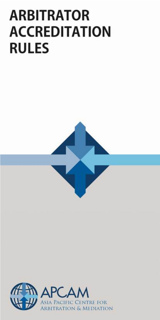# **ARBITRATOR ACCREDITATION RULES**



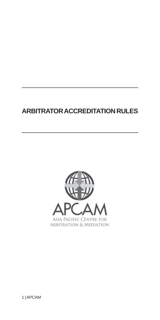# **ARBITRATOR ACCREDITATION RULES**

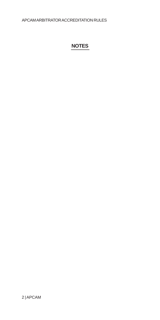APCAM ARBITRATOR ACCREDITATION RULES

# **NOTES**

2 | APCAM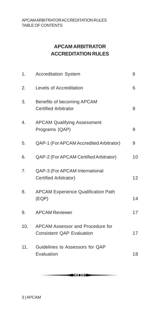# **APCAM ARBITRATOR ACCREDITATION RULES**

| 1.  | <b>Accreditation System</b>                                          | 6  |
|-----|----------------------------------------------------------------------|----|
| 2.  | Levels of Accreditation                                              | 6  |
| 3.  | Benefits of becoming APCAM<br><b>Certified Arbitrator</b>            | 8  |
| 4.  | <b>APCAM Qualifying Assessment</b><br>Programs (QAP)                 | 9  |
| 5.  | QAP-1 (For APCAM Accredited Arbitrator)                              | 9  |
| 6.  | QAP-2 (For APCAM Certified Arbitrator)                               | 10 |
| 7.  | QAP-3 (For APCAM International<br>Certified Arbitrator)              | 12 |
| 8.  | <b>APCAM Experience Qualification Path</b><br>(EQP)                  | 14 |
| 9.  | <b>APCAM Reviewer</b>                                                | 17 |
| 10. | APCAM Assessor and Procedure for<br><b>Consistent QAP Evaluation</b> | 17 |
| 11. | Guidelines to Assessors for QAP<br>Evaluation                        | 18 |

━━₩∷

3 | APCAM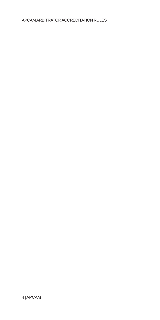#### APCAM ARBITRATOR ACCREDITATION RULES

4 | APCAM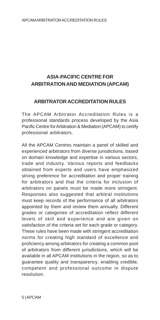# **ASIA-PACIFIC CENTRE FOR ARBITRATION AND MEDIATION (APCAM)**

#### **ARBITRATOR ACCREDITATION RULES**

The APCAM Arbitrator Accreditation Rules is a professional standards process developed by the Asia Pacific Centre for Arbitration & Mediation (APCAM) to certify professional arbitrators.

All the APCAM Centres maintain a panel of skilled and experienced arbitrators from diverse jurisdictions, based on domain knowledge and expertise in various sectors, trade and industry. Various reports and feedbacks obtained from experts and users have emphasized strong preference for accreditation and proper training for arbitrators and that the criteria for inclusion of arbitrators on panels must be made more stringent. Responses also suggested that arbitral institutions must keep records of the performance of all arbitrators appointed by them and review them annually. Different grades or categories of accreditation reflect different levels of skill and experience and are given on satisfaction of the criteria set for each grade or category. These rules have been made with stringent accreditation norms for creating high standard of excellence and proficiency among arbitrators for creating a common pool of arbitrators from different jurisdictions, which will be available in all APCAM institutions in the region, so as to guarantee quality and transparency, enabling credible, competent and professional outcome in dispute resolution.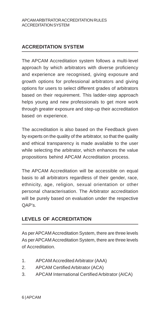#### **ACCREDITATION SYSTEM**

The APCAM Accreditation system follows a multi-level approach by which arbitrators with diverse proficiency and experience are recognised, giving exposure and growth options for professional arbitrators and giving options for users to select different grades of arbitrators based on their requirement. This ladder-step approach helps young and new professionals to get more work through greater exposure and step-up their accreditation based on experience.

The accreditation is also based on the Feedback given by experts on the quality of the arbitrator, so that the quality and ethical transparency is made available to the user while selecting the arbitrator, which enhances the value propositions behind APCAM Accreditation process.

The APCAM Accreditation will be accessible on equal basis to all arbitrators regardless of their gender, race, ethnicity, age, religion, sexual orientation or other personal characterisation. The Arbitrator accreditation will be purely based on evaluation under the respective QAP's.

## **LEVELS OF ACCREDITATION**

As per APCAM Accreditation System, there are three levels As per APCAM Accreditation System, there are three levels of Accreditation.

- 1. APCAM Accredited Arbitrator (AAA)
- 2. APCAM Certified Arbitrator (ACA)
- 3. APCAM International Certified Arbitrator (AICA)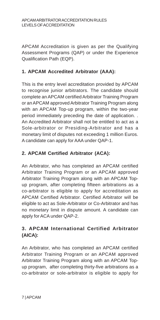APCAM Accreditation is given as per the Qualifying Assessment Programs (QAP) or under the Experience Qualification Path (EQP).

## **1. APCAM Accredited Arbitrator (AAA):**

This is the entry level accreditation provided by APCAM to recognise junior arbitrators. The candidate should complete an APCAM certified Arbitrator Training Program or an APCAM approved Arbitrator Training Program along with an APCAM Top-up program, within the two-year period immediately preceding the date of application. . An Accredited Arbitrator shall not be entitled to act as a Sole-arbitrator or Presiding-Arbitrator and has a monetary limit of disputes not exceeding 1 million Euros. A candidate can apply for AAA under QAP-1.

#### **2. APCAM Certified Arbitrator (ACA):**

An Arbitrator, who has completed an APCAM certified Arbitrator Training Program or an APCAM approved Arbitrator Training Program along with an APCAM Topup program, after completing fifteen arbitrations as a co-arbitrator is eligible to apply for accreditation as APCAM Certified Arbitrator. Certified Arbitrator will be eligible to act as Sole-Arbitrator or Co-Arbitrator and has no monetary limit in dispute amount. A candidate can apply for ACA under QAP-2.

#### **3. APCAM International Certified Arbitrator (AICA):**

An Arbitrator, who has completed an APCAM certified Arbitrator Training Program or an APCAM approved Arbitrator Training Program along with an APCAM Topup program, after completing thirty-five arbitrations as a co-arbitrator or sole-arbitrator is eligible to apply for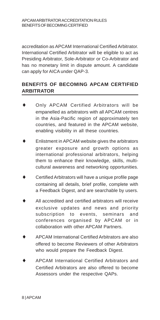accreditation as APCAM International Certified Arbitrator. International Certified Arbitrator will be eligible to act as Presiding Arbitrator, Sole-Arbitrator or Co-Arbitrator and has no monetary limit in dispute amount. A candidate can apply for AICA under QAP-3.

#### **BENEFITS OF BECOMING APCAM CERTIFIED ARBITRATOR**

- Only APCAM Certified Arbitrators will be empanelled as arbitrators with all APCAM centres in the Asia-Pacific region of approximately ten countries, and featured in the APCAM website, enabling visibility in all these countries.
- Enlistment in APCAM website gives the arbitrators greater exposure and growth options as international professional arbitrators, helping them to enhance their knowledge, skills, multicultural awareness and networking opportunities.
- Certified Arbitrators will have a unique profile page containing all details, brief profile, complete with a Feedback Digest, and are searchable by users.
- All accredited and certified arbitrators will receive exclusive updates and news and priority subscription to events, seminars and conferences organised by APCAM or in collaboration with other APCAM Partners.
- i APCAM International Certified Arbitrators are also offered to become Reviewers of other Arbitrators who would prepare the Feedback Digest.
- i APCAM International Certified Arbitrators and Certified Arbitrators are also offered to become Assessors under the respective QAPs.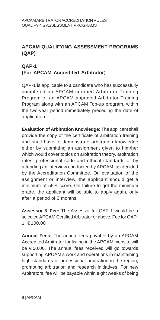## **APCAM QUALIFYING ASSESSMENT PROGRAMS (QAP)**

#### **QAP-1 (For APCAM Accredited Arbitrator)**

QAP-1 is applicable to a candidate who has successfully completed an APCAM certified Arbitrator Training Program or an APCAM approved Arbitrator Training Program along with an APCAM Top-up program, within the two-year period immediately preceding the date of application.

**Evaluation of Arbitration Knowledge:** The applicant shall provide the copy of the certificate of arbitration training and shall have to demonstrate arbitration knowledge either by submitting an assignment given to him/her which would cover topics on arbitration theory, arbitration rules, professional code and ethical standards or by attending an interview conducted by APCAM, as decided by the Accreditation Committee. On evaluation of the assignment or interview, the applicant should get a minimum of 55% score. On failure to get the minimum grade, the applicant will be able to apply again, only after a period of 3 months.

**Assessor & Fee:** The Assessor for QAP-1 would be a selected APCAM Certified Arbitrator or above. Fee for QAP- $1· € 100.00$ 

**Annual Fees:** The annual fees payable by an APCAM Accredited Arbitrator for listing in the APCAM website will be € 50.00. The annual fees received will go towards supporting APCAM's work and operations in maintaining high standards of professional arbitration in the region, promoting arbitration and research initiatives. For new Arbitrators, fee will be payable within eight weeks of being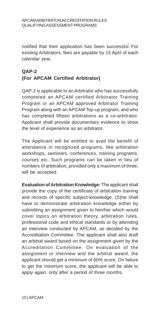notified that their application has been successful. For existing Arbitrators, fees are payable by 15 April of each calendar year.

# **QAP-2 (For APCAM Certified Arbitrator)**

QAP-2 is applicable to an Arbitrator who has successfully completed an APCAM certified Arbitrator Training Program or an APCAM approved Arbitrator Training Program along with an APCAM Top-up program, and who has completed fifteen arbitrations as a co-arbitrator. Applicant shall provide documentary evidence to show the level of experience as an arbitrator.

The Applicant will be entitled to avail the benefit of attendance in recognized programs, like arbitration workshops, seminars, conferences, training programs, courses etc. Such programs can be taken in lieu of numbers of arbitration, provided only a maximum of three, will be accepted.

**Evaluation of Arbitration Knowledge:** The applicant shall provide the copy of the certificate of arbitration training and records of specific subject-knowledge. (S)he shall have to demonstrate arbitration knowledge either by submitting an assignment given to him/her which would cover topics on arbitration theory, arbitration rules, professional code and ethical standards or by attending an interview conducted by APCAM, as decided by the Accreditation Committee. The applicant shall also draft an arbitral award based on the assignment given by the Accreditation Committee. On evaluation of the assignment or interview and the arbitral award, the applicant should get a minimum of 60% score. On failure to get the minimum score, the applicant will be able to apply again, only after a period of three months.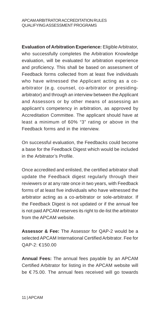**Evaluation of Arbitration Experience:** Eligible Arbitrator, who successfully completes the Arbitration Knowledge evaluation, will be evaluated for arbitration experience and proficiency. This shall be based on assessment of Feedback forms collected from at least five individuals who have witnessed the Applicant acting as a coarbitrator (e.g. counsel, co-arbitrator or presidingarbitrator) and through an interview between the Applicant and Assessors or by other means of assessing an applicant's competency in arbitration, as approved by Accreditation Committee. The applicant should have at least a minimum of 60% "3" rating or above in the Feedback forms and in the interview.

On successful evaluation, the Feedbacks could become a base for the Feedback Digest which would be included in the Arbitrator's Profile.

Once accredited and enlisted, the certified arbitrator shall update the Feedback digest regularly through their reviewers or at any rate once in two years, with Feedback forms of at least five individuals who have witnessed the arbitrator acting as a co-arbitrator or sole-arbitrator. If the Feedback Digest is not updated or if the annual fee is not paid APCAM reserves its right to de-list the arbitrator from the APCAM website.

**Assessor & Fee:** The Assessor for QAP-2 would be a selected APCAM International Certified Arbitrator. Fee for QAP-2: € 150.00

**Annual Fees:** The annual fees payable by an APCAM Certified Arbitrator for listing in the APCAM website will be € 75.00. The annual fees received will go towards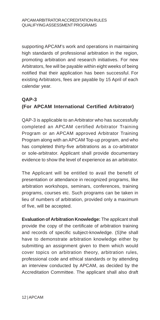supporting APCAM's work and operations in maintaining high standards of professional arbitration in the region, promoting arbitration and research initiatives. For new Arbitrators, fee will be payable within eight weeks of being notified that their application has been successful. For existing Arbitrators, fees are payable by 15 April of each calendar year.

# **QAP-3 (For APCAM International Certified Arbitrator)**

QAP-3 is applicable to an Arbitrator who has successfully completed an APCAM certified Arbitrator Training Program or an APCAM approved Arbitrator Training Program along with an APCAM Top-up program, and who has completed thirty-five arbitrations as a co-arbitrator or sole-arbitrator. Applicant shall provide documentary evidence to show the level of experience as an arbitrator.

The Applicant will be entitled to avail the benefit of presentation or attendance in recognized programs, like arbitration workshops, seminars, conferences, training programs, courses etc. Such programs can be taken in lieu of numbers of arbitration, provided only a maximum of five, will be accepted.

**Evaluation of Arbitration Knowledge:** The applicant shall provide the copy of the certificate of arbitration training and records of specific subject-knowledge. (S)he shall have to demonstrate arbitration knowledge either by submitting an assignment given to them which would cover topics on arbitration theory, arbitration rules, professional code and ethical standards or by attending an interview conducted by APCAM, as decided by the Accreditation Committee. The applicant shall also draft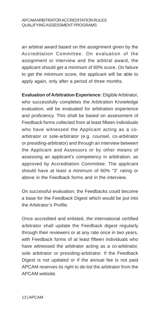an arbitral award based on the assignment given by the Accreditation Committee. On evaluation of the assignment or interview and the arbitral award, the applicant should get a minimum of 60% score. On failure to get the minimum score, the applicant will be able to apply again, only after a period of three months.

**Evaluation of Arbitration Experience:** Eligible Arbitrator, who successfully completes the Arbitration Knowledge evaluation, will be evaluated for arbitration experience and proficiency. This shall be based on assessment of Feedback forms collected from at least fifteen individuals who have witnessed the Applicant acting as a coarbitrator or sole-arbitrator (e.g. counsel, co-arbitrator or presiding-arbitrator) and through an interview between the Applicant and Assessors or by other means of assessing an applicant's competency in arbitration, as approved by Accreditation Committee. The applicant should have at least a minimum of 60% "3" rating or above in the Feedback forms and in the interview.

On successful evaluation, the Feedbacks could become a base for the Feedback Digest which would be put into the Arbitrator's Profile.

Once accredited and enlisted, the international certified arbitrator shall update the Feedback digest regularly through their reviewers or at any rate once in two years, with Feedback forms of at least fifteen individuals who have witnessed the arbitrator acting as a co-arbitrator, sole arbitrator or presiding-arbitrator. If the Feedback Digest is not updated or if the annual fee is not paid APCAM reserves its right to de-list the arbitrator from the APCAM website.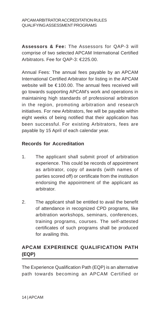**Assessors & Fee:** The Assessors for QAP-3 will comprise of two selected APCAM International Certified Arbitrators. Fee for QAP-3: €225.00.

Annual Fees: The annual fees payable by an APCAM International Certified Arbitrator for listing in the APCAM website will be  $€100.00$ . The annual fees received will go towards supporting APCAM's work and operations in maintaining high standards of professional arbitration in the region, promoting arbitration and research initiatives. For new Arbitrators, fee will be payable within eight weeks of being notified that their application has been successful. For existing Arbitrators, fees are payable by 15 April of each calendar year.

#### **Records for Accreditation**

- 1. The applicant shall submit proof of arbitration experience. This could be records of appointment as arbitrator, copy of awards (with names of parties scored off) or certificate from the institution endorsing the appointment of the applicant as arbitrator.
- 2. The applicant shall be entitled to avail the benefit of attendance in recognized CPD programs, like arbitration workshops, seminars, conferences, training programs, courses. The self-attested certificates of such programs shall be produced for availing this.

#### **APCAM EXPERIENCE QUALIFICATION PATH (EQP)**

The Experience Qualification Path (EQP) is an alternative path towards becoming an APCAM Certified or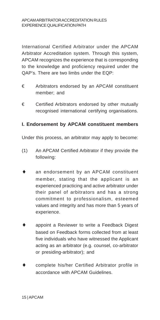International Certified Arbitrator under the APCAM Arbitrator Accreditation system. Through this system, APCAM recognizes the experience that is corresponding to the knowledge and proficiency required under the QAP's. There are two limbs under the EQP:

- € Arbitrators endorsed by an APCAM constituent member; and
- € Certified Arbitrators endorsed by other mutually recognised international certifying organisations.

#### **I. Endorsement by APCAM constituent members**

Under this process, an arbitrator may apply to become:

- (1) An APCAM Certified Arbitrator if they provide the following:
- an endorsement by an APCAM constituent member, stating that the applicant is an experienced practicing and active arbitrator under their panel of arbitrators and has a strong commitment to professionalism, esteemed values and integrity and has more than 5 years of experience.
- appoint a Reviewer to write a Feedback Digest based on Feedback forms collected from at least five individuals who have witnessed the Applicant acting as an arbitrator (e.g. counsel, co-arbitrator or presiding-arbitrator); and
- complete his/her Certified Arbitrator profile in accordance with APCAM Guidelines.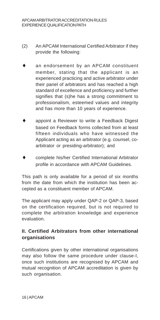- (2) An APCAM International Certified Arbitrator if they provide the following:
- an endorsement by an APCAM constituent member, stating that the applicant is an experienced practicing and active arbitrator under their panel of arbitrators and has reached a high standard of excellence and proficiency and further signifies that (s)he has a strong commitment to professionalism, esteemed values and integrity and has more than 10 years of experience.
- appoint a Reviewer to write a Feedback Digest based on Feedback forms collected from at least fifteen individuals who have witnessed the Applicant acting as an arbitrator (e.g. counsel, coarbitrator or presiding-arbitrator); and
- complete his/her Certified International Arbitrator profile in accordance with APCAM Guidelines.

This path is only available for a period of six months from the date from which the institution has been accepted as a constituent member of APCAM.

The applicant may apply under QAP-2 or QAP-3, based on the certification required, but is not required to complete the arbitration knowledge and experience evaluation.

#### **II. Certified Arbitrators from other international organisations**

Certifications given by other international organisations may also follow the same procedure under clause-I, once such institutions are recognised by APCAM and mutual recognition of APCAM accreditation is given by such organisation.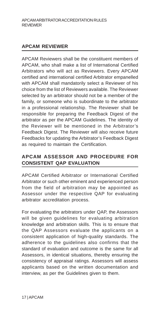#### **APCAM REVIEWER**

APCAM Reviewers shall be the constituent members of APCAM, who shall make a list of International Certified Arbitrators who will act as Reviewers. Every APCAM certified and international certified Arbitrator empanelled with APCAM shall mandatorily select a Reviewer of his choice from the list of Reviewers available. The Reviewer selected by an arbitrator should not be a member of the family, or someone who is subordinate to the arbitrator in a professional relationship. The Reviewer shall be responsible for preparing the Feedback Digest of the arbitrator as per the APCAM Guidelines. The identity of the Reviewer will be mentioned in the Arbitrator's Feedback Digest. The Reviewer will also receive future Feedbacks for updating the Arbitrator's Feedback Digest as required to maintain the Certification.

#### **APCAM ASSESSOR AND PROCEDURE FOR CONSISTENT QAP EVALUATION**

APCAM Certified Arbitrator or International Certified Arbitrator or such other eminent and experienced person from the field of arbitration may be appointed as Assessor under the respective QAP for evaluating arbitrator accreditation process.

For evaluating the arbitrators under QAP, the Assessors will be given guidelines for evaluating arbitration knowledge and arbitration skills. This is to ensure that the QAP Assessors evaluate the applicants on a consistent application of high-quality standards. The adherence to the guidelines also confirms that the standard of evaluation and outcome is the same for all Assessors, in identical situations, thereby ensuring the consistency of appraisal ratings. Assessors will assess applicants based on the written documentation and interview, as per the Guidelines given to them.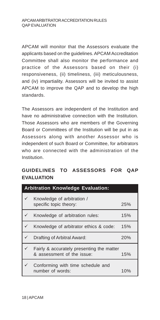APCAM will monitor that the Assessors evaluate the applicants based on the guidelines. APCAM Accreditation Committee shall also monitor the performance and practice of the Assessors based on their (i) responsiveness, (ii) timeliness, (iii) meticulousness, and (iv) impartiality. Assessors will be invited to assist APCAM to improve the QAP and to develop the high standards.

The Assessors are independent of the Institution and have no administrative connection with the Institution. Those Assessors who are members of the Governing Board or Committees of the Institution will be put in as Assessors along with another Assessor who is independent of such Board or Committee, for arbitrators who are connected with the administration of the Institution.

## **GUIDELINES TO ASSESSORS FOR QAP EVALUATION**

| <b>Arbitration Knowledge Evaluation:</b> |                                                                         |     |  |  |
|------------------------------------------|-------------------------------------------------------------------------|-----|--|--|
|                                          | Knowledge of arbitration /<br>specific topic theory:                    | 25% |  |  |
|                                          | Knowledge of arbitration rules:                                         | 15% |  |  |
|                                          | Knowledge of arbitrator ethics & code:                                  | 15% |  |  |
|                                          | Drafting of Arbitral Award:                                             | 20% |  |  |
| ✓                                        | Fairly & accurately presenting the matter<br>& assessment of the issue: | 15% |  |  |
|                                          | Conforming with time schedule and<br>number of words:                   | 10% |  |  |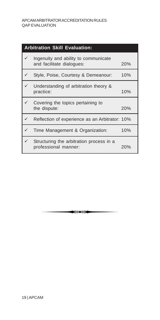| <b>Arbitration Skill Evaluation:</b> |                                                                   |     |  |
|--------------------------------------|-------------------------------------------------------------------|-----|--|
| ✓                                    | Ingenuity and ability to communicate<br>and facilitate dialogues: | 20% |  |
|                                      | Style, Poise, Courtesy & Demeanour:                               | 10% |  |
|                                      | Understanding of arbitration theory &<br>practice:                | 10% |  |
|                                      | Covering the topics pertaining to<br>the dispute:                 | 20% |  |
|                                      | Reflection of experience as an Arbitrator: 10%                    |     |  |
| ✓                                    | Time Management & Organization:                                   | 10% |  |
|                                      | Structuring the arbitration process in a<br>professional manner:  | 20% |  |

 $\longrightarrow 0$